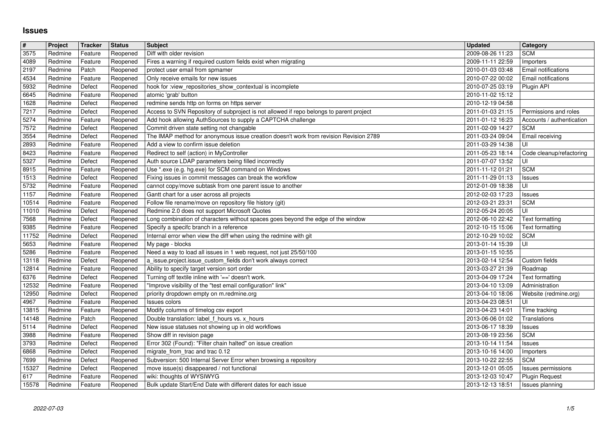## **Issues**

| #              | Project            | Tracker            | <b>Status</b>        | <b>Subject</b>                                                                                                                    | <b>Updated</b>                       | Category                                    |
|----------------|--------------------|--------------------|----------------------|-----------------------------------------------------------------------------------------------------------------------------------|--------------------------------------|---------------------------------------------|
| 3575<br>4089   | Redmine<br>Redmine | Feature<br>Feature | Reopened<br>Reopened | Diff with older revision<br>Fires a warning if required custom fields exist when migrating                                        | 2009-08-26 11:23<br>2009-11-11 22:59 | <b>SCM</b><br>Importers                     |
| 2197           | Redmine            | Patch              | Reopened             | protect user email from spmamer                                                                                                   | 2010-01-03 03:48                     | <b>Email notifications</b>                  |
| 4534           | Redmine            | Feature            | Reopened             | Only receive emails for new issues                                                                                                | 2010-07-22 00:02                     | Email notifications                         |
| 5932<br>6645   | Redmine<br>Redmine | Defect<br>Feature  | Reopened<br>Reopened | hook for :view_repositories_show_contextual is incomplete<br>atomic 'grab' button                                                 | 2010-07-25 03:19<br>2010-11-02 15:12 | Plugin API                                  |
| 1628           | Redmine            | Defect             | Reopened             | redmine sends http on forms on https server                                                                                       | 2010-12-19 04:58                     |                                             |
| 7217           | Redmine            | Defect             | Reopened             | Access to SVN Repository of subproject is not allowed if repo belongs to parent project                                           | 2011-01-03 21:15                     | Permissions and roles                       |
| 5274<br>7572   | Redmine<br>Redmine | Feature<br>Defect  | Reopened<br>Reopened | Add hook allowing AuthSources to supply a CAPTCHA challenge<br>Commit driven state setting not changable                          | 2011-01-12 16:23<br>2011-02-09 14:27 | Accounts / authentication<br>SCM            |
| 3554           | Redmine            | Defect             | Reopened             | The IMAP method for anonymous issue creation doesn't work from revision Revision 2789                                             | 2011-03-24 09:04                     | Email receiving                             |
| 2893           | Redmine            | Feature            | Reopened             | Add a view to confirm issue deletion                                                                                              | 2011-03-29 14:38                     | UI                                          |
| 8423<br>5327   | Redmine<br>Redmine | Feature<br>Defect  | Reopened<br>Reopened | Redirect to self (action) in MyController<br>Auth source LDAP parameters being filled incorrectly                                 | 2011-05-23 18:14<br>2011-07-07 13:52 | Code cleanup/refactoring<br>UI              |
| 8915           | Redmine            | Feature            | Reopened             | Use *.exe (e.g. hg.exe) for SCM command on Windows                                                                                | 2011-11-12 01:21                     | <b>SCM</b>                                  |
| 1513           | Redmine            | Defect             | Reopened             | Fixing issues in commit messages can break the workflow                                                                           | 2011-11-29 01:13                     | Issues                                      |
| 5732<br>1157   | Redmine<br>Redmine | Feature<br>Feature | Reopened<br>Reopened | cannot copy/move subtask from one parent issue to another<br>Gantt chart for a user across all projects                           | 2012-01-09 18:38<br>2012-02-03 17:23 | UI<br>Issues                                |
| 10514          | Redmine            | Feature            | Reopened             | Follow file rename/move on repository file history (git)                                                                          | 2012-03-21 23:31                     | <b>SCM</b>                                  |
| 11010          | Redmine            | Defect             | Reopened             | Redmine 2.0 does not support Microsoft Quotes<br>Long combination of characters without spaces goes beyond the edge of the window | 2012-05-24 20:05<br>2012-06-10 22:42 | UI                                          |
| 7568<br>9385   | Redmine<br>Redmine | Defect<br>Feature  | Reopened<br>Reopened | Specify a specifc branch in a reference                                                                                           | 2012-10-15 15:06                     | Text formatting<br>Text formatting          |
| 11752          | Redmine            | Defect             | Reopened             | Internal error when view the diff when using the redmine with git                                                                 | 2012-10-29 10:02                     | <b>SCM</b>                                  |
| 5653<br>5286   | Redmine<br>Redmine | Feature<br>Feature | Reopened<br>Reopened | My page - blocks<br>Need a way to load all issues in 1 web request, not just 25/50/100                                            | 2013-01-14 15:39<br>2013-01-15 10:55 | UI                                          |
| 13118          | Redmine            | Defect             | Reopened             | a_issue.project.issue_custom_fields don't work always correct                                                                     | 2013-02-14 12:54                     | Custom fields                               |
| 12814          | Redmine            | Feature            | Reopened             | Ability to specify target version sort order                                                                                      | 2013-03-27 21:39                     | Roadmap                                     |
| 6376<br>12532  | Redmine<br>Redmine | Defect<br>Feature  | Reopened<br>Reopened | Turning off textile inline with '==' doesn't work.<br>"Improve visibility of the "test email configuration" link"                 | 2013-04-09 17:24<br>2013-04-10 13:09 | Text formatting<br>Administration           |
| 12950          | Redmine            | Defect             | Reopened             | priority dropdown empty on m.redmine.org                                                                                          | 2013-04-10 18:06                     | Website (redmine.org)                       |
| 4967           | Redmine            | Feature            | Reopened             | Issues colors                                                                                                                     | 2013-04-23 08:51                     | UI                                          |
| 13815<br>14148 | Redmine<br>Redmine | Feature<br>Patch   | Reopened<br>Reopened | Modify columns of timelog csv export<br>Double translation: label_f_hours vs. x_hours                                             | 2013-04-23 14:01<br>2013-06-06 01:02 | Time tracking<br>Translations               |
| 5114           | Redmine            | Defect             | Reopened             | New issue statuses not showing up in old workflows                                                                                | 2013-06-17 18:39                     | Issues                                      |
| 3988           | Redmine            | Feature            | Reopened             | Show diff in revision page                                                                                                        | 2013-08-19 23:56                     | <b>SCM</b>                                  |
| 3793<br>6868   | Redmine<br>Redmine | Defect<br>Defect   | Reopened<br>Reopened | Error 302 (Found): "Filter chain halted" on issue creation<br>migrate_from_trac and trac 0.12                                     | 2013-10-14 11:54<br>2013-10-16 14:00 | Issues<br>Importers                         |
| 7699           | Redmine            | Defect             | Reopened             | Subversion: 500 Internal Server Error when browsing a repository                                                                  | 2013-10-22 22:55                     | <b>SCM</b>                                  |
| 15327<br>617   | Redmine<br>Redmine | Defect<br>Feature  | Reopened             | Reopened   move issue(s) disappeared / not functional<br>wiki: thoughts of WYSIWYG                                                | 2013-12-01 05:05<br>2013-12-03 10:47 | Issues permissions<br><b>Plugin Request</b> |
| 15578          | Redmine            | Feature            | Reopened             | Bulk update Start/End Date with different dates for each issue                                                                    | 2013-12-13 18:51                     | Issues planning                             |
|                |                    |                    |                      |                                                                                                                                   |                                      |                                             |
|                |                    |                    |                      |                                                                                                                                   |                                      |                                             |
|                |                    |                    |                      |                                                                                                                                   |                                      |                                             |
|                |                    |                    |                      |                                                                                                                                   |                                      |                                             |
|                |                    |                    |                      |                                                                                                                                   |                                      |                                             |
|                |                    |                    |                      |                                                                                                                                   |                                      |                                             |
|                |                    |                    |                      |                                                                                                                                   |                                      |                                             |
|                |                    |                    |                      |                                                                                                                                   |                                      |                                             |
|                |                    |                    |                      |                                                                                                                                   |                                      |                                             |
|                |                    |                    |                      |                                                                                                                                   |                                      |                                             |
|                |                    |                    |                      |                                                                                                                                   |                                      |                                             |
|                |                    |                    |                      |                                                                                                                                   |                                      |                                             |
|                |                    |                    |                      |                                                                                                                                   |                                      |                                             |
|                |                    |                    |                      |                                                                                                                                   |                                      |                                             |
|                |                    |                    |                      |                                                                                                                                   |                                      |                                             |
|                |                    |                    |                      |                                                                                                                                   |                                      |                                             |
|                |                    |                    |                      |                                                                                                                                   |                                      |                                             |
|                |                    |                    |                      |                                                                                                                                   |                                      |                                             |
|                |                    |                    |                      |                                                                                                                                   |                                      |                                             |
|                |                    |                    |                      |                                                                                                                                   |                                      |                                             |
|                |                    |                    |                      |                                                                                                                                   |                                      |                                             |
|                |                    |                    |                      |                                                                                                                                   |                                      |                                             |
|                |                    |                    |                      |                                                                                                                                   |                                      |                                             |
|                |                    |                    |                      |                                                                                                                                   |                                      |                                             |
|                |                    |                    |                      |                                                                                                                                   |                                      |                                             |
|                |                    |                    |                      |                                                                                                                                   |                                      |                                             |
|                |                    |                    |                      |                                                                                                                                   |                                      |                                             |
|                |                    |                    |                      |                                                                                                                                   |                                      |                                             |
|                |                    |                    |                      |                                                                                                                                   |                                      |                                             |
|                |                    |                    |                      |                                                                                                                                   |                                      |                                             |
|                |                    |                    |                      |                                                                                                                                   |                                      |                                             |
|                |                    |                    |                      |                                                                                                                                   |                                      |                                             |
|                |                    |                    |                      |                                                                                                                                   |                                      |                                             |
|                |                    |                    |                      |                                                                                                                                   |                                      |                                             |
|                |                    |                    |                      |                                                                                                                                   |                                      |                                             |
|                |                    |                    |                      |                                                                                                                                   |                                      |                                             |
|                |                    |                    |                      |                                                                                                                                   |                                      |                                             |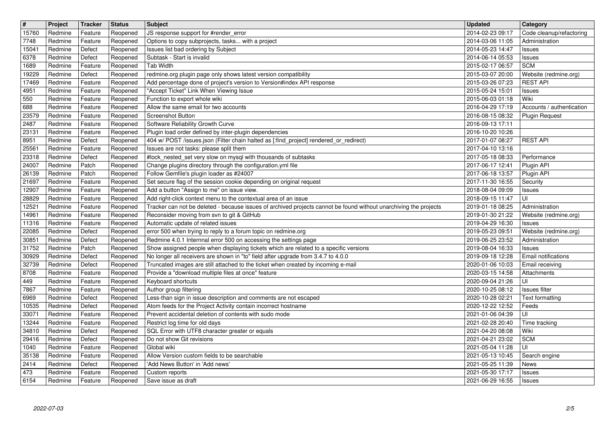| $\boxed{\texttt{#}}$    | Project            | Tracker            | <b>Status</b>        | <b>Subject</b>                                                                                                                           | <b>Updated</b>                       | <b>Category</b>                         |
|-------------------------|--------------------|--------------------|----------------------|------------------------------------------------------------------------------------------------------------------------------------------|--------------------------------------|-----------------------------------------|
| 15760                   | Redmine            | Feature            | Reopened             | JS response support for #render_error                                                                                                    | 2014-02-23 09:17                     | Code cleanup/refactoring                |
| 7748<br>15041           | Redmine<br>Redmine | Feature<br>Defect  | Reopened<br>Reopened | Options to copy subprojects, tasks with a project<br>Issues list bad ordering by Subject                                                 | 2014-03-06 11:05<br>2014-05-23 14:47 | Administration<br>Issues                |
| 6378                    | Redmine            | Defect             | Reopened             | Subtask - Start is invalid                                                                                                               | 2014-06-14 05:53                     | Issues                                  |
| 1689                    | Redmine            | Feature            | Reopened             | <b>Tab Width</b>                                                                                                                         | 2015-02-17 06:57                     | <b>SCM</b>                              |
| 19229                   | Redmine            | Defect             | Reopened             | redmine.org plugin page only shows latest version compatibility                                                                          | 2015-03-07 20:00                     | Website (redmine.org)                   |
| 17469<br>4951           | Redmine<br>Redmine | Feature<br>Feature | Reopened<br>Reopened | Add percentage done of project's version to Version#index API response<br>"Accept Ticket" Link When Viewing Issue                        | 2015-03-26 07:23<br>2015-05-24 15:01 | <b>REST API</b><br>Issues               |
| 550                     | Redmine            | Feature            | Reopened             | Function to export whole wiki                                                                                                            | 2015-06-03 01:18                     | Wiki                                    |
| 688                     | Redmine            | Feature            | Reopened             | Allow the same email for two accounts                                                                                                    | 2016-04-29 17:19                     | Accounts / authentication               |
| 23579<br>2487           | Redmine<br>Redmine | Feature<br>Feature | Reopened<br>Reopened | Screenshot Button<br>Software Reliability Growth Curve                                                                                   | 2016-08-15 08:32<br>2016-09-13 17:11 | <b>Plugin Request</b>                   |
| 23131                   | Redmine            | Feature            | Reopened             | Plugin load order defined by inter-plugin dependencies                                                                                   | 2016-10-20 10:26                     |                                         |
| 8951                    | Redmine            | Defect             | Reopened             | 404 w/ POST /issues.json (Filter chain halted as [:find_project] rendered_or_redirect)                                                   | 2017-01-07 08:27                     | <b>REST API</b>                         |
| 25561                   | Redmine            | Feature            | Reopened             | Issues are not tasks: please split them                                                                                                  | 2017-04-10 13:16                     |                                         |
| 23318<br>24007          | Redmine<br>Redmine | Defect<br>Patch    | Reopened<br>Reopened | #lock_nested_set very slow on mysql with thousands of subtasks<br>Change plugins directory through the configuration.yml file            | 2017-05-18 08:33<br>2017-06-17 12:41 | Performance<br>Plugin API               |
| 26139                   | Redmine            | Patch              | Reopened             | Follow Gemfile's plugin loader as #24007                                                                                                 | 2017-06-18 13:57                     | Plugin API                              |
| 21697                   | Redmine            | Feature            | Reopened             | Set secure flag of the session cookie depending on original request                                                                      | 2017-11-30 16:55                     | Security                                |
| 12907<br>28829          | Redmine<br>Redmine | Feature<br>Feature | Reopened<br>Reopened | Add a button "Assign to me" on issue view.<br>Add right-click context menu to the contextual area of an issue                            | 2018-08-04 09:09<br>2018-09-15 11:47 | Issues<br>ΙUΙ                           |
| 12521                   | Redmine            | Feature            | Reopened             | Tracker can not be deleted - because issues of archived projects cannot be found without unarchiving the projects                        | 2019-01-18 08:25                     | Administration                          |
| 14961                   | Redmine            | Feature            | Reopened             | Reconsider moving from svn to git & GitHub                                                                                               | 2019-01-30 21:22                     | Website (redmine.org)                   |
| 11316<br>22085          | Redmine<br>Redmine | Feature<br>Defect  | Reopened             | Automatic update of related issues<br>error 500 when trying to reply to a forum topic on redmine.org                                     | 2019-04-29 16:30<br>2019-05-23 09:51 | Issues                                  |
| 30851                   | Redmine            | Defect             | Reopened<br>Reopened | Redmine 4.0.1 Internnal error 500 on accessing the settings page                                                                         | 2019-06-25 23:52                     | Website (redmine.org)<br>Administration |
| 31752                   | Redmine            | Patch              | Reopened             | Show assigned people when displaying tickets which are related to a specific versions                                                    | 2019-08-04 16:33                     | Issues                                  |
| 30929                   | Redmine            | Defect             | Reopened             | No longer all receivers are shown in "to" field after upgrade from 3.4.7 to 4.0.0                                                        | 2019-09-18 12:28                     | Email notifications                     |
| 32739<br>8708           | Redmine<br>Redmine | Defect<br>Feature  | Reopened<br>Reopened | Truncated images are still attached to the ticket when created by incoming e-mail<br>Provide a "download multiple files at once" feature | 2020-01-06 10:03<br>2020-03-15 14:58 | Email receiving<br>Attachments          |
| 449                     | Redmine            | Feature            | Reopened             | Keyboard shortcuts                                                                                                                       | 2020-09-04 21:26                     | UI                                      |
| 7867                    | Redmine            | Feature            | Reopened             | Author group filtering                                                                                                                   | 2020-10-25 08:12                     | <b>Issues filter</b>                    |
| 6969                    | Redmine            | Defect             | Reopened             | Less-than sign in issue description and comments are not escaped                                                                         | 2020-10-28 02:21                     | Text formatting                         |
| 10535<br>33071          | Redmine<br>Redmine | Defect<br>Feature  | Reopened<br>Reopened | Atom feeds for the Project Activity contain incorrect hostname<br>Prevent accidental deletion of contents with sudo mode                 | 2020-12-22 12:52<br>2021-01-06 04:39 | Feeds<br>UI                             |
| 13244                   | Redmine            | Feature            | Reopened             | Restrict log time for old days                                                                                                           | 2021-02-28 20:40                     | Time tracking                           |
| 34810                   | Redmine            | Defect             | Reopened             | SQL Error with UTF8 character greater or equals                                                                                          | 2021-04-20 08:08                     | Wiki                                    |
| 29416<br>$ 1040\rangle$ | Redmine<br>Redmine | Defect<br>Feature  | Reopened<br>Reopened | Do not show Git revisions<br>Global wiki                                                                                                 | 2021-04-21 23:02<br>2021-05-04 11:28 | SCM<br> U                               |
| 35138                   | Redmine            | Feature            | Reopened             | Allow Version custom fields to be searchable                                                                                             | 2021-05-13 10:45                     | Search engine                           |
| $\sqrt{2414}$           | Redmine            | Defect             | Reopened             | 'Add News Button' in 'Add news'                                                                                                          | 2021-05-25 11:39                     | News                                    |
| 473<br>6154             | Redmine<br>Redmine | Feature<br>Feature | Reopened<br>Reopened | Custom reports<br>Save issue as draft                                                                                                    | 2021-05-30 17:17<br>2021-06-29 16:55 | Issues<br><b>Issues</b>                 |
|                         |                    |                    |                      |                                                                                                                                          |                                      |                                         |
|                         |                    |                    |                      |                                                                                                                                          |                                      |                                         |
|                         |                    |                    |                      |                                                                                                                                          |                                      |                                         |
|                         |                    |                    |                      |                                                                                                                                          |                                      |                                         |
|                         |                    |                    |                      |                                                                                                                                          |                                      |                                         |
|                         |                    |                    |                      |                                                                                                                                          |                                      |                                         |
|                         |                    |                    |                      |                                                                                                                                          |                                      |                                         |
|                         |                    |                    |                      |                                                                                                                                          |                                      |                                         |
|                         |                    |                    |                      |                                                                                                                                          |                                      |                                         |
|                         |                    |                    |                      |                                                                                                                                          |                                      |                                         |
|                         |                    |                    |                      |                                                                                                                                          |                                      |                                         |
|                         |                    |                    |                      |                                                                                                                                          |                                      |                                         |
|                         |                    |                    |                      |                                                                                                                                          |                                      |                                         |
|                         |                    |                    |                      |                                                                                                                                          |                                      |                                         |
|                         |                    |                    |                      |                                                                                                                                          |                                      |                                         |
|                         |                    |                    |                      |                                                                                                                                          |                                      |                                         |
|                         |                    |                    |                      |                                                                                                                                          |                                      |                                         |
|                         |                    |                    |                      |                                                                                                                                          |                                      |                                         |
|                         |                    |                    |                      |                                                                                                                                          |                                      |                                         |
|                         |                    |                    |                      |                                                                                                                                          |                                      |                                         |
|                         |                    |                    |                      |                                                                                                                                          |                                      |                                         |
|                         |                    |                    |                      |                                                                                                                                          |                                      |                                         |
|                         |                    |                    |                      |                                                                                                                                          |                                      |                                         |
|                         |                    |                    |                      |                                                                                                                                          |                                      |                                         |
|                         |                    |                    |                      |                                                                                                                                          |                                      |                                         |
|                         |                    |                    |                      |                                                                                                                                          |                                      |                                         |
|                         |                    |                    |                      |                                                                                                                                          |                                      |                                         |
|                         |                    |                    |                      |                                                                                                                                          |                                      |                                         |
|                         |                    |                    |                      |                                                                                                                                          |                                      |                                         |
|                         |                    |                    |                      |                                                                                                                                          |                                      |                                         |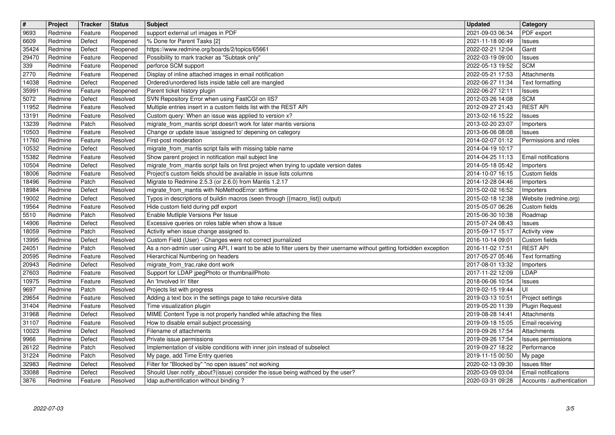| $\vert$ #<br>9693 | Project<br>Redmine | Tracker<br>Feature | <b>Status</b><br>Reopened | Subject<br>support external url images in PDF                                                                                                                                        | <b>Updated</b><br>2021-09-03 06:34   | Category<br>PDF export                   |
|-------------------|--------------------|--------------------|---------------------------|--------------------------------------------------------------------------------------------------------------------------------------------------------------------------------------|--------------------------------------|------------------------------------------|
| 6609              | Redmine            | Defect             | Reopened                  | % Done for Parent Tasks [2]                                                                                                                                                          | 2021-11-18 00:49                     | <b>Issues</b>                            |
| 35424<br>29470    | Redmine<br>Redmine | Defect<br>Feature  | Reopened<br>Reopened      | https://www.redmine.org/boards/2/topics/65661<br>Possibility to mark tracker as "Subtask only"                                                                                       | 2022-02-21 12:04<br>2022-03-19 09:00 | Gantt<br><b>Issues</b>                   |
| 339<br>2770       | Redmine<br>Redmine | Feature<br>Feature | Reopened<br>Reopened      | perforce SCM support<br>Display of inline attached images in email notification                                                                                                      | 2022-05-13 19:52<br>2022-05-21 17:53 | <b>SCM</b><br>Attachments                |
| 14038             | Redmine            | Defect             | Reopened                  | Ordered/unordered lists inside table cell are mangled                                                                                                                                | 2022-06-27 11:34                     | Text formatting                          |
| 35991<br>5072     | Redmine<br>Redmine | Feature<br>Defect  | Reopened<br>Resolved      | Parent ticket history plugin<br>SVN Repository Error when using FastCGI on IIS7                                                                                                      | 2022-06-27 12:11<br>2012-03-26 14:08 | Issues<br><b>SCM</b>                     |
| 11952<br>13191    | Redmine<br>Redmine | Feature<br>Feature | Resolved<br>Resolved      | Multiple entries insert in a custom fields list with the REST API<br>Custom query: When an issue was applied to version x?                                                           | 2012-09-27 21:43<br>2013-02-16 15:22 | <b>REST API</b><br><b>Issues</b>         |
| 13239<br>10503    | Redmine<br>Redmine | Patch<br>Feature   | Resolved<br>Resolved      | migrate_from_mantis script doesn't work for later mantis versions<br>Change or update issue 'assigned to' depening on category                                                       | 2013-02-20 23:07<br>2013-06-06 08:08 | Importers<br><b>Issues</b>               |
| 11760             | Redmine            | Feature            | Resolved                  | First-post moderation                                                                                                                                                                | 2014-02-07 01:12                     | Permissions and roles                    |
| 10532<br>15382    | Redmine<br>Redmine | Defect<br>Feature  | Resolved<br>Resolved      | migrate_from_mantis script fails with missing table name<br>Show parent project in notification mail subject line                                                                    | 2014-04-19 10:17<br>2014-04-25 11:13 | <b>Email notifications</b>               |
| 10504<br>18006    | Redmine<br>Redmine | Defect<br>Feature  | Resolved<br>Resolved      | migrate from mantis script fails on first project when trying to update version dates<br>Project's custom fields should be available in issue lists columns                          | 2014-05-18 05:42<br>2014-10-07 16:15 | Importers<br>Custom fields               |
| 18496<br>18984    | Redmine<br>Redmine | Patch<br>Defect    | Resolved<br>Resolved      | Migrate to Redmine 2.5.3 (or 2.6.0) from Mantis 1.2.17<br>migrate_from_mantis with NoMethodError: strftime                                                                           | 2014-12-28 04:46<br>2015-02-02 16:52 | Importers<br>Importers                   |
| 19002             | Redmine            | Defect             | Resolved                  | Typos in descriptions of buildin macros (seen through {{macro_list}} output)                                                                                                         | 2015-02-18 12:38                     | Website (redmine.org)                    |
| 19564<br>5510     | Redmine<br>Redmine | Feature<br>Patch   | Resolved<br>Resolved      | Hide custom field during pdf export<br>Enable Mutliple Versions Per Issue                                                                                                            | 2015-05-07 06:26<br>2015-06-30 10:38 | Custom fields<br>Roadmap                 |
| 14906<br>18059    | Redmine<br>Redmine | Defect<br>Patch    | Resolved<br>Resolved      | Excessive queries on roles table when show a Issue<br>Activity when issue change assigned to.                                                                                        | 2015-07-24 08:43<br>2015-09-17 15:17 | <b>Issues</b><br><b>Activity view</b>    |
| 13995<br>24051    | Redmine<br>Redmine | Defect<br>Patch    | Resolved<br>Resolved      | Custom Field (User) - Changes were not correct journalized<br>As a non-admin user using API, I want to be able to filter users by their username without getting forbidden exception | 2016-10-14 09:01<br>2016-11-02 17:51 | Custom fields<br><b>REST API</b>         |
| 20595             | Redmine            | Feature            | Resolved                  | Hierarchical Numbering on headers                                                                                                                                                    | 2017-05-27 05:46                     | Text formatting                          |
| 20943<br>27603    | Redmine<br>Redmine | Defect<br>Feature  | Resolved<br>Resolved      | migrate_from_trac.rake dont work<br>Support for LDAP jpegPhoto or thumbnailPhoto                                                                                                     | 2017-08-01 13:32<br>2017-11-22 12:09 | Importers<br>LDAP                        |
| 10975<br>9697     | Redmine<br>Redmine | Feature<br>Patch   | Resolved<br>Resolved      | An 'Involved In' filter<br>Projects list with progress                                                                                                                               | 2018-06-06 10:54<br>2019-02-15 19:44 | <b>Issues</b><br>UI                      |
| 29654             | Redmine            | Feature            | Resolved                  | Adding a text box in the settings page to take recursive data                                                                                                                        | 2019-03-13 10:51                     | Project settings                         |
| 31404<br>31968    | Redmine<br>Redmine | Feature<br>Defect  | Resolved<br>Resolved      | Time visualization plugin<br>MIME Content Type is not properly handled while attaching the files                                                                                     | 2019-05-20 11:39<br>2019-08-28 14:41 | <b>Plugin Request</b><br>Attachments     |
| 31107<br>10023    | Redmine<br>Redmine | Feature<br>Defect  | Resolved<br>Resolved      | How to disable email subject processing<br>Filename of attachments                                                                                                                   | 2019-09-18 15:05<br>2019-09-26 17:54 | Email receiving<br>Attachments           |
| 9966<br>26122     | Redmine<br>Redmine | Defect<br>Patch    | Resolved<br>Resolved      | Private issue permissions<br>Implementation of visible conditions with inner join instead of subselect                                                                               | 2019-09-26 17:54<br>2019-09-27 18:22 | <b>Issues permissions</b><br>Performance |
| 31224             | Redmine            | Patch              | Resolved                  | My page, add Time Entry queries                                                                                                                                                      | 2019-11-15 00:50                     | My page                                  |
| 32983<br>33088    | Redmine<br>Redmine | Defect<br>Defect   | Resolved<br>Resolved      | Filter for "Blocked by" "no open issues" not working<br>Should User.notify_about?(issue) consider the issue being wathced by the user?                                               | 2020-02-13 09:30<br>2020-03-09 03:04 | Issues filter<br>Email notifications     |
| 3876              | Redmine            | Feature            | Resolved                  | Idap authentification without binding?                                                                                                                                               | 2020-03-31 09:28                     | Accounts / authentication                |
|                   |                    |                    |                           |                                                                                                                                                                                      |                                      |                                          |
|                   |                    |                    |                           |                                                                                                                                                                                      |                                      |                                          |
|                   |                    |                    |                           |                                                                                                                                                                                      |                                      |                                          |
|                   |                    |                    |                           |                                                                                                                                                                                      |                                      |                                          |
|                   |                    |                    |                           |                                                                                                                                                                                      |                                      |                                          |
|                   |                    |                    |                           |                                                                                                                                                                                      |                                      |                                          |
|                   |                    |                    |                           |                                                                                                                                                                                      |                                      |                                          |
|                   |                    |                    |                           |                                                                                                                                                                                      |                                      |                                          |
|                   |                    |                    |                           |                                                                                                                                                                                      |                                      |                                          |
|                   |                    |                    |                           |                                                                                                                                                                                      |                                      |                                          |
|                   |                    |                    |                           |                                                                                                                                                                                      |                                      |                                          |
|                   |                    |                    |                           |                                                                                                                                                                                      |                                      |                                          |
|                   |                    |                    |                           |                                                                                                                                                                                      |                                      |                                          |
|                   |                    |                    |                           |                                                                                                                                                                                      |                                      |                                          |
|                   |                    |                    |                           |                                                                                                                                                                                      |                                      |                                          |
|                   |                    |                    |                           |                                                                                                                                                                                      |                                      |                                          |
|                   |                    |                    |                           |                                                                                                                                                                                      |                                      |                                          |
|                   |                    |                    |                           |                                                                                                                                                                                      |                                      |                                          |
|                   |                    |                    |                           |                                                                                                                                                                                      |                                      |                                          |
|                   |                    |                    |                           |                                                                                                                                                                                      |                                      |                                          |
|                   |                    |                    |                           |                                                                                                                                                                                      |                                      |                                          |
|                   |                    |                    |                           |                                                                                                                                                                                      |                                      |                                          |
|                   |                    |                    |                           |                                                                                                                                                                                      |                                      |                                          |
|                   |                    |                    |                           |                                                                                                                                                                                      |                                      |                                          |
|                   |                    |                    |                           |                                                                                                                                                                                      |                                      |                                          |
|                   |                    |                    |                           |                                                                                                                                                                                      |                                      |                                          |
|                   |                    |                    |                           |                                                                                                                                                                                      |                                      |                                          |
|                   |                    |                    |                           |                                                                                                                                                                                      |                                      |                                          |
|                   |                    |                    |                           |                                                                                                                                                                                      |                                      |                                          |
|                   |                    |                    |                           |                                                                                                                                                                                      |                                      |                                          |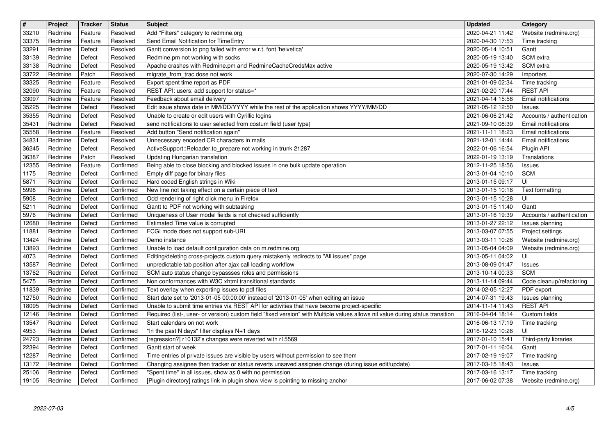| $\boxed{\texttt{#}}$ | Project            | Tracker            | <b>Status</b>          | <b>Subject</b>                                                                                                                                                                            | <b>Updated</b>                       | <b>Category</b>                                   |
|----------------------|--------------------|--------------------|------------------------|-------------------------------------------------------------------------------------------------------------------------------------------------------------------------------------------|--------------------------------------|---------------------------------------------------|
| 33210                | Redmine            | Feature            | Resolved               | Add "Filters" category to redmine.org                                                                                                                                                     | 2020-04-21 11:42                     | Website (redmine.org)                             |
| 33375<br>33291       | Redmine<br>Redmine | Feature<br>Defect  | Resolved<br>Resolved   | Send Email Notification for TimeEntry<br>Gantt conversion to png failed with error w.r.t. font 'helvetica'                                                                                | 2020-04-30 17:53<br>2020-05-14 10:51 | Time tracking<br>Gantt                            |
| 33139                | Redmine            | Defect             | Resolved               | Redmine.pm not working with socks                                                                                                                                                         | 2020-05-19 13:40                     | SCM extra                                         |
| 33138                | Redmine            | Defect             | Resolved               | Apache crashes with Redmine.pm and RedmineCacheCredsMax active                                                                                                                            | 2020-05-19 13:42                     | SCM extra                                         |
| 33722                | Redmine            | Patch              | Resolved               | migrate_from_trac dose not work                                                                                                                                                           | 2020-07-30 14:29                     | Importers                                         |
| 33325<br>32090       | Redmine<br>Redmine | Feature<br>Feature | Resolved<br>Resolved   | Export spent time report as PDF<br>REST API: users: add support for status=*                                                                                                              | 2021-01-09 02:34<br>2021-02-20 17:44 | Time tracking<br><b>REST API</b>                  |
| 33097                | Redmine            | Feature            | Resolved               | Feedback about email delivery                                                                                                                                                             | 2021-04-14 15:58                     | Email notifications                               |
| 35225                | Redmine            | Defect             | Resolved               | Edit issue shows date in MM/DD/YYYY while the rest of the application shows YYYY/MM/DD                                                                                                    | 2021-05-12 12:50                     | Issues                                            |
| 35355                | Redmine            | Defect             | Resolved               | Unable to create or edit users with Cyrillic logins<br>send notifications to user selected from costum field (user type)                                                                  | 2021-06-06 21:42<br>2021-09-10 08:39 | Accounts / authentication                         |
| 35431<br>35558       | Redmine<br>Redmine | Defect<br>Feature  | Resolved<br>Resolved   | Add button "Send notification again"                                                                                                                                                      | 2021-11-11 18:23                     | Email notifications<br><b>Email notifications</b> |
| 34831                | Redmine            | Defect             | Resolved               | Unnecessary encoded CR characters in mails                                                                                                                                                | 2021-12-01 14:44                     | Email notifications                               |
| 36245                | Redmine            | Defect             | Resolved               | ActiveSupport::Reloader.to_prepare not working in trunk 21287                                                                                                                             | 2022-01-06 16:54                     | Plugin API                                        |
| 36387<br>12355       | Redmine<br>Redmine | Patch<br>Feature   | Resolved<br>Confirmed  | Updating Hungarian translation<br>Being able to close blocking and blocked issues in one bulk update operation                                                                            | 2022-01-19 13:19<br>2012-11-25 18:56 | Translations<br>Issues                            |
| 1175                 | Redmine            | Defect             | Confirmed              | Empty diff page for binary files                                                                                                                                                          | 2013-01-04 10:10                     | <b>SCM</b>                                        |
| 5871                 | Redmine            | Defect             | Confirmed              | Hard coded English strings in Wiki                                                                                                                                                        | 2013-01-15 09:17                     | UI                                                |
| 5998                 | Redmine            | Defect             | Confirmed              | New line not taking effect on a certain piece of text                                                                                                                                     | 2013-01-15 10:18                     | Text formatting                                   |
| 5908<br>5211         | Redmine<br>Redmine | Defect<br>Defect   | Confirmed<br>Confirmed | Odd rendering of right click menu in Firefox<br>Gantt to PDF not working with subtasking                                                                                                  | 2013-01-15 10:28<br>2013-01-15 11:40 | UI<br>Gantt                                       |
| 5976                 | Redmine            | Defect             | Confirmed              | Uniqueness of User model fields is not checked sufficiently                                                                                                                               | 2013-01-16 19:39                     | Accounts / authentication                         |
| 12680                | Redmine            | Defect             | Confirmed              | Estimated Time value is corrupted                                                                                                                                                         | 2013-01-27 22:12                     | Issues planning                                   |
| 11881                | Redmine<br>Redmine | Defect<br>Defect   | Confirmed<br>Confirmed | FCGI mode does not support sub-URI<br>Demo instance                                                                                                                                       | 2013-03-07 07:55<br>2013-03-11 10:26 | Project settings<br>Website (redmine.org)         |
| 13424<br>13893       | Redmine            | Defect             | Confirmed              | Unable to load default configuration data on m.redmine.org                                                                                                                                | 2013-05-04 04:09                     | Website (redmine.org)                             |
| 4073                 | Redmine            | Defect             | Confirmed              | Editing/deleting cross-projects custom query mistakenly redirects to "All issues" page                                                                                                    | 2013-05-11 04:02                     | UI                                                |
| 13587                | Redmine            | Defect             | Confirmed              | unpredictable tab position after ajax call loading workflow                                                                                                                               | 2013-08-09 01:47                     | Issues                                            |
| 13762<br>5475        | Redmine<br>Redmine | Defect<br>Defect   | Confirmed<br>Confirmed | SCM auto status change bypassses roles and permissions<br>Non conformances with W3C xhtml transitional standards                                                                          | 2013-10-14 00:33<br>2013-11-14 09:44 | <b>SCM</b>                                        |
| 11839                | Redmine            | Defect             | Confirmed              | Text overlay when exporting issues to pdf files                                                                                                                                           | 2014-02-05 12:27                     | Code cleanup/refactoring<br>PDF export            |
| 12750                | Redmine            | Defect             | Confirmed              | Start date set to '2013-01-05 00:00:00' instead of '2013-01-05' when editing an issue                                                                                                     | 2014-07-31 19:43                     | Issues planning                                   |
| 18095                | Redmine            | Defect             | Confirmed              | Unable to submit time entries via REST API for activities that have become project-specific                                                                                               | 2014-11-14 11:43                     | <b>REST API</b>                                   |
| 12146<br>13547       | Redmine<br>Redmine | Defect<br>Defect   | Confirmed<br>Confirmed | Required (list-, user- or version) custom field "fixed version" with Multiple values allows nil value during status transition<br>Start calendars on not work                             | 2016-04-04 18:14<br>2016-06-13 17:19 | Custom fields<br>Time tracking                    |
| 4953                 | Redmine            | Defect             | Confirmed              | "In the past N days" filter displays N+1 days                                                                                                                                             | 2016-12-23 10:26                     | UI                                                |
| 24723                | Redmine            | Defect             | Confirmed              | [regression?] r10132's changes were reverted with r15569                                                                                                                                  | 2017-01-10 15:41                     | Third-party libraries                             |
| 22394                | Redmine            | Defect             | Confirmed              | Gantt start of week                                                                                                                                                                       | 2017-01-11 16:04                     | Gantt                                             |
| 12287<br>13172       | Redmine<br>Redmine | Defect<br>Defect   | Confirmed<br>Confirmed | Time entries of private issues are visible by users without permission to see them<br>Changing assignee then tracker or status reverts unsaved assignee change (during issue edit/update) | 2017-02-19 19:07<br>2017-03-15 18:43 | Time tracking<br>Issues                           |
| 25106                | Redmine            | Defect             | Confirmed              | "Spent time" in all issues, show as 0 with no permission                                                                                                                                  | 2017-03-16 13:17                     | Time tracking                                     |
| 19105                | Redmine            | Defect             | Confirmed              | [Plugin directory] ratings link in plugin show view is pointing to missing anchor                                                                                                         | 2017-06-02 07:38                     | Website (redmine.org)                             |
|                      |                    |                    |                        |                                                                                                                                                                                           |                                      |                                                   |
|                      |                    |                    |                        |                                                                                                                                                                                           |                                      |                                                   |
|                      |                    |                    |                        |                                                                                                                                                                                           |                                      |                                                   |
|                      |                    |                    |                        |                                                                                                                                                                                           |                                      |                                                   |
|                      |                    |                    |                        |                                                                                                                                                                                           |                                      |                                                   |
|                      |                    |                    |                        |                                                                                                                                                                                           |                                      |                                                   |
|                      |                    |                    |                        |                                                                                                                                                                                           |                                      |                                                   |
|                      |                    |                    |                        |                                                                                                                                                                                           |                                      |                                                   |
|                      |                    |                    |                        |                                                                                                                                                                                           |                                      |                                                   |
|                      |                    |                    |                        |                                                                                                                                                                                           |                                      |                                                   |
|                      |                    |                    |                        |                                                                                                                                                                                           |                                      |                                                   |
|                      |                    |                    |                        |                                                                                                                                                                                           |                                      |                                                   |
|                      |                    |                    |                        |                                                                                                                                                                                           |                                      |                                                   |